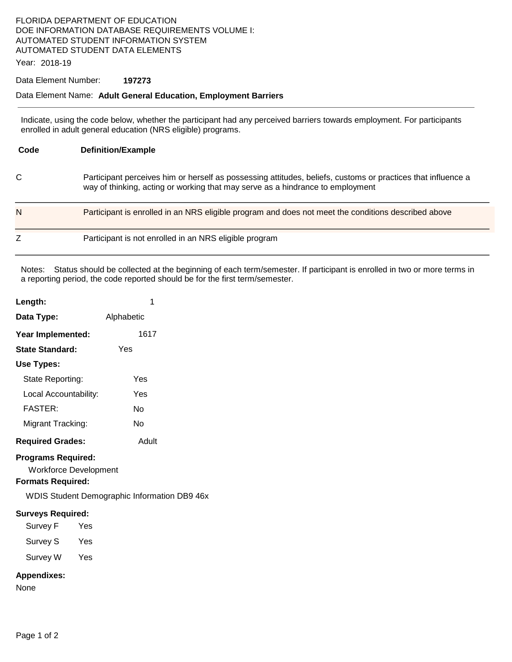### FLORIDA DEPARTMENT OF EDUCATION DOE INFORMATION DATABASE REQUIREMENTS VOLUME I: AUTOMATED STUDENT INFORMATION SYSTEM AUTOMATED STUDENT DATA ELEMENTS

Year: 2018-19

#### Data Element Number: **197273**

#### Data Element Name: **Adult General Education, Employment Barriers**

Indicate, using the code below, whether the participant had any perceived barriers towards employment. For participants enrolled in adult general education (NRS eligible) programs.

| Code | <b>Definition/Example</b>                                                                                                                                                                      |
|------|------------------------------------------------------------------------------------------------------------------------------------------------------------------------------------------------|
| С    | Participant perceives him or herself as possessing attitudes, beliefs, customs or practices that influence a<br>way of thinking, acting or working that may serve as a hindrance to employment |
| N    | Participant is enrolled in an NRS eligible program and does not meet the conditions described above                                                                                            |
|      | Participant is not enrolled in an NRS eligible program                                                                                                                                         |

Notes: Status should be collected at the beginning of each term/semester. If participant is enrolled in two or more terms in a reporting period, the code reported should be for the first term/semester.

| Length:                                                                               | 1                                                   |
|---------------------------------------------------------------------------------------|-----------------------------------------------------|
| Data Type:                                                                            | Alphabetic                                          |
| Year Implemented:                                                                     | 1617                                                |
| <b>State Standard:</b>                                                                | Yes                                                 |
| Use Types:                                                                            |                                                     |
| State Reporting:                                                                      | Yes                                                 |
| Local Accountability:                                                                 | Yes                                                 |
| <b>FASTER:</b>                                                                        | N٥                                                  |
| Migrant Tracking:                                                                     | No                                                  |
| <b>Required Grades:</b>                                                               | Adult                                               |
| <b>Programs Required:</b><br><b>Workforce Development</b><br><b>Formats Required:</b> | <b>WDIS Student Demographic Information DB9 46x</b> |
| <b>Surveys Required:</b><br>Survey F<br>Yes                                           |                                                     |

- Survey S Yes
- Survey W Yes

### **Appendixes:**

None